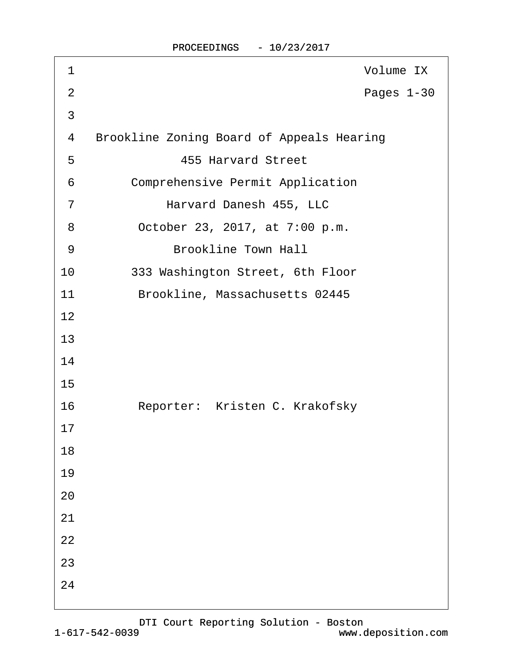| 1              | Volume IX                                        |
|----------------|--------------------------------------------------|
| $\overline{2}$ | Pages 1-30                                       |
| $\mathfrak{S}$ |                                                  |
| 4              | <b>Brookline Zoning Board of Appeals Hearing</b> |
| 5              | <b>455 Harvard Street</b>                        |
| 6              | <b>Comprehensive Permit Application</b>          |
| $\overline{7}$ | Harvard Danesh 455, LLC                          |
| 8              | October 23, 2017, at 7:00 p.m.                   |
| 9              | <b>Brookline Town Hall</b>                       |
| 10             | 333 Washington Street, 6th Floor                 |
| 11             | Brookline, Massachusetts 02445                   |
| 12             |                                                  |
| 13             |                                                  |
| 14             |                                                  |
| 15             |                                                  |
| 16             | Reporter: Kristen C. Krakofsky                   |
| 17             |                                                  |
| 18             |                                                  |
| 19             |                                                  |
| 20             |                                                  |
| 21             |                                                  |
| 22             |                                                  |
| 23             |                                                  |
| 24             |                                                  |
|                |                                                  |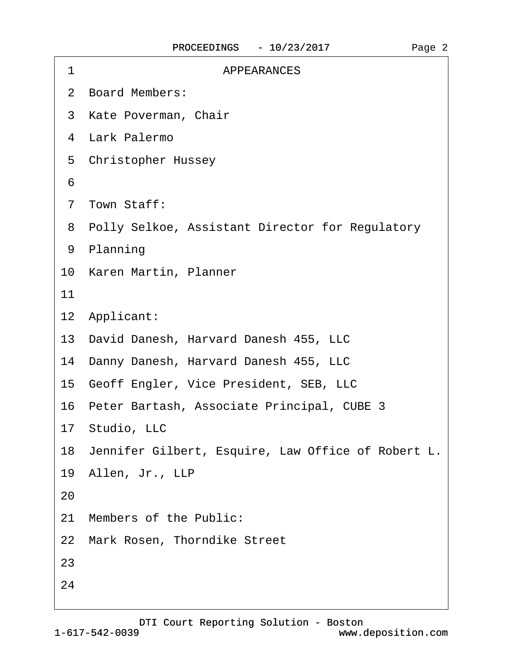| 1  | <b>APPEARANCES</b>                                    |
|----|-------------------------------------------------------|
|    | 2 Board Members:                                      |
|    | 3 Kate Poverman, Chair                                |
|    | 4 Lark Palermo                                        |
|    | 5 Christopher Hussey                                  |
| 6  |                                                       |
|    | 7 Town Staff:                                         |
|    | 8 Polly Selkoe, Assistant Director for Regulatory     |
|    | 9 Planning                                            |
|    | 10 Karen Martin, Planner                              |
| 11 |                                                       |
|    | 12 Applicant:                                         |
|    | 13 David Danesh, Harvard Danesh 455, LLC              |
|    | 14 Danny Danesh, Harvard Danesh 455, LLC              |
|    | 15 Geoff Engler, Vice President, SEB, LLC             |
|    | 16 Peter Bartash, Associate Principal, CUBE 3         |
|    | 17 Studio, LLC                                        |
|    | 18 Jennifer Gilbert, Esquire, Law Office of Robert L. |
|    | 19 Allen, Jr., LLP                                    |
| 20 |                                                       |
|    | 21 Members of the Public:                             |
|    | 22 Mark Rosen, Thorndike Street                       |
| 23 |                                                       |
| 24 |                                                       |
|    |                                                       |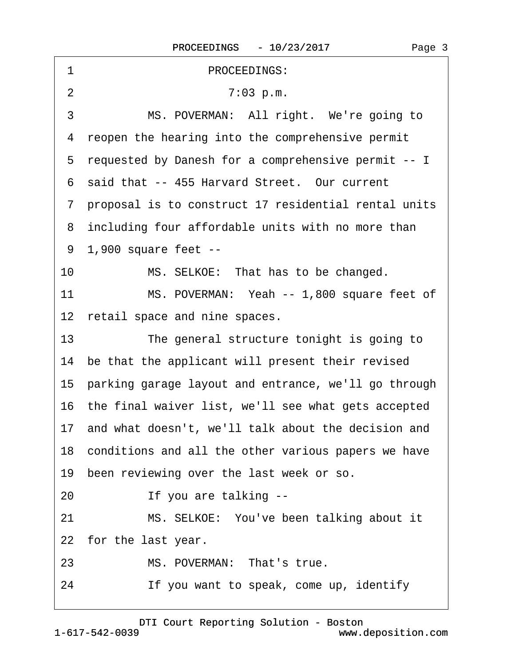<span id="page-2-0"></span>

| PROCEEDINGS:<br>1                                            |
|--------------------------------------------------------------|
| $\overline{2}$<br>7:03 p.m.                                  |
| 3<br>MS. POVERMAN: All right. We're going to                 |
| reopen the hearing into the comprehensive permit<br>4        |
| 5 requested by Danesh for a comprehensive permit -- I        |
| 6 said that -- 455 Harvard Street. Our current               |
| 7 proposal is to construct 17 residential rental units       |
| 8 including four affordable units with no more than          |
| 9 1,900 square feet --                                       |
| 10<br>MS. SELKOE: That has to be changed.                    |
| 11<br>MS. POVERMAN: Yeah -- 1,800 square feet of             |
| 12 retail space and nine spaces.                             |
| 13 <sup>2</sup><br>The general structure tonight is going to |
| 14 be that the applicant will present their revised          |
| 15 parking garage layout and entrance, we'll go through      |
| 16 the final waiver list, we'll see what gets accepted       |
| 17 and what doesn't, we'll talk about the decision and       |
| 18 conditions and all the other various papers we have       |
| 19 been reviewing over the last week or so.                  |
| If you are talking --<br>20                                  |
| 21<br>MS. SELKOE: You've been talking about it               |
| 22 for the last year.                                        |
| MS. POVERMAN: That's true.<br>23                             |
| If you want to speak, come up, identify<br>24                |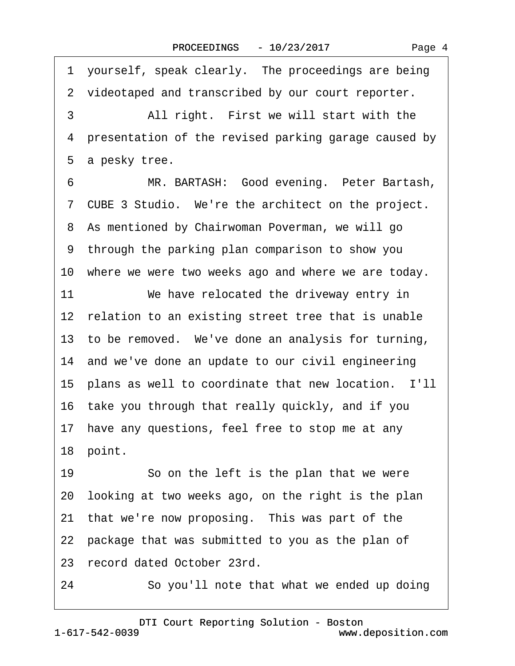<span id="page-3-0"></span>1 yourself, speak clearly. The proceedings are being 2 videotaped and transcribed by our court reporter. 3 • All right. First we will start with the 4 presentation of the revised parking garage caused by 5 a pesky tree. 6 MR. BARTASH: Good evening. Peter Bartash, 7 CUBE 3 Studio. We're the architect on the project. 8 As mentioned by Chairwoman Poverman, we will go ·9· through the parking plan comparison to show you 10 where we were two weeks ago and where we are today. 11 We have relocated the driveway entry in 12 relation to an existing street tree that is unable 13 to be removed. We've done an analysis for turning, 14 and we've done an update to our civil engineering 15 plans as well to coordinate that new location. I'll 16· take you through that really quickly, and if you 17 have any questions, feel free to stop me at any 18 point. 19 So on the left is the plan that we were 20· looking at two weeks ago, on the right is the plan 21 that we're now proposing. This was part of the 22 package that was submitted to you as the plan of 23 record dated October 23rd.

24 · So you'll note that what we ended up doing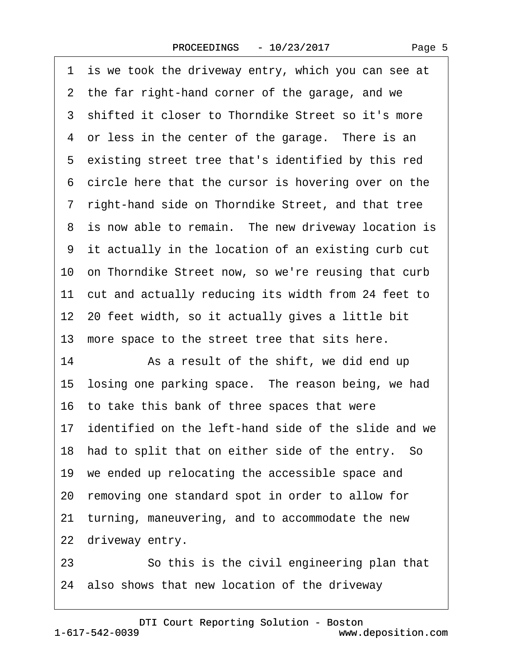<span id="page-4-0"></span>1 is we took the driveway entry, which you can see at 2 the far right-hand corner of the garage, and we ·3· shifted it closer to Thorndike Street so it's more 4 or less in the center of the garage. There is an 5 existing street tree that's identified by this red 6 circle here that the cursor is hovering over on the ·7· right-hand side on Thorndike Street, and that tree 8 is now able to remain. The new driveway location is ·9· it actually in the location of an existing curb cut 10 on Thorndike Street now, so we're reusing that curb 11 cut and actually reducing its width from 24 feet to 12–20 feet width, so it actually gives a little bit 13 more space to the street tree that sits here. 14 • As a result of the shift, we did end up 15 losing one parking space. The reason being, we had 16· to take this bank of three spaces that were 17 identified on the left-hand side of the slide and we 18 had to split that on either side of the entry. So 19 we ended up relocating the accessible space and 20· removing one standard spot in order to allow for 21 turning, maneuvering, and to accommodate the new 22 driveway entry. 23 **So this is the civil engineering plan that** 

24· also shows that new location of the driveway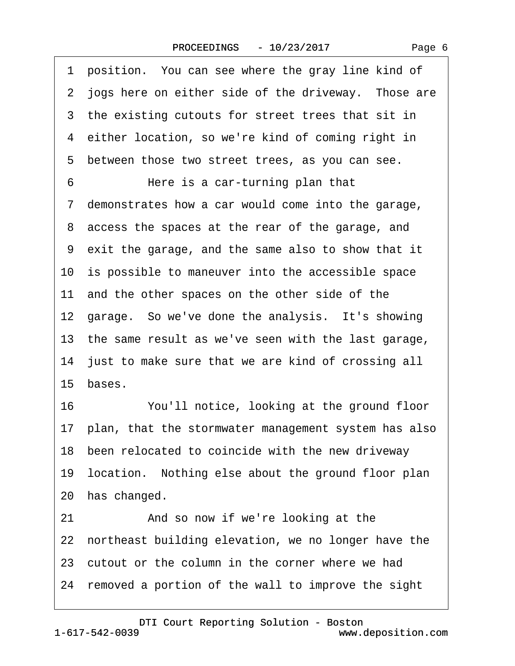<span id="page-5-0"></span>

| 1 position. You can see where the gray line kind of     |
|---------------------------------------------------------|
| 2 jogs here on either side of the driveway. Those are   |
| 3 the existing cutouts for street trees that sit in     |
| 4 either location, so we're kind of coming right in     |
| 5 between those two street trees, as you can see.       |
| 6<br>Here is a car-turning plan that                    |
| 7 demonstrates how a car would come into the garage,    |
| 8 access the spaces at the rear of the garage, and      |
| 9 exit the garage, and the same also to show that it    |
| 10 is possible to maneuver into the accessible space    |
| 11 and the other spaces on the other side of the        |
| 12 garage. So we've done the analysis. It's showing     |
| 13 the same result as we've seen with the last garage,  |
| 14 just to make sure that we are kind of crossing all   |
| 15 bases.                                               |
| 16<br>You'll notice, looking at the ground floor        |
| 17 plan, that the stormwater management system has also |
| 18 been relocated to coincide with the new driveway     |
| 19 location. Nothing else about the ground floor plan   |
| 20 has changed.                                         |
| And so now if we're looking at the<br>21                |
| 22 northeast building elevation, we no longer have the  |
| 23 cutout or the column in the corner where we had      |
| 24 removed a portion of the wall to improve the sight   |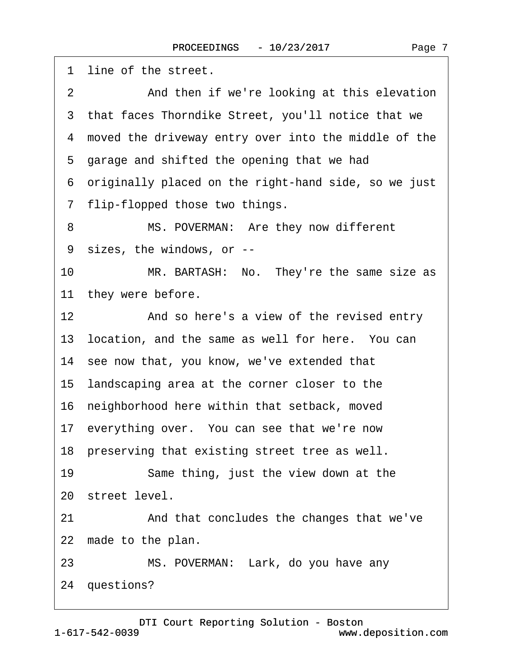<span id="page-6-0"></span>1 line of the street. 2 **2** And then if we're looking at this elevation 3 that faces Thorndike Street, you'll notice that we 4 moved the driveway entry over into the middle of the 5 garage and shifted the opening that we had ·6· originally placed on the right-hand side, so we just 7 flip-flopped those two things. 8 MS. POVERMAN: Are they now different ·9· sizes, the windows, or -- 10 MR. BARTASH: No. They're the same size as 11 they were before. 12 • And so here's a view of the revised entry 13 location, and the same as well for here. You can 14 see now that, you know, we've extended that 15· landscaping area at the corner closer to the 16· neighborhood here within that setback, moved 17 everything over. You can see that we're now 18 preserving that existing street tree as well. 19 Same thing, just the view down at the 20 street level. 21 And that concludes the changes that we've 22 made to the plan. 23 MS. POVERMAN: Lark, do you have any 24 questions?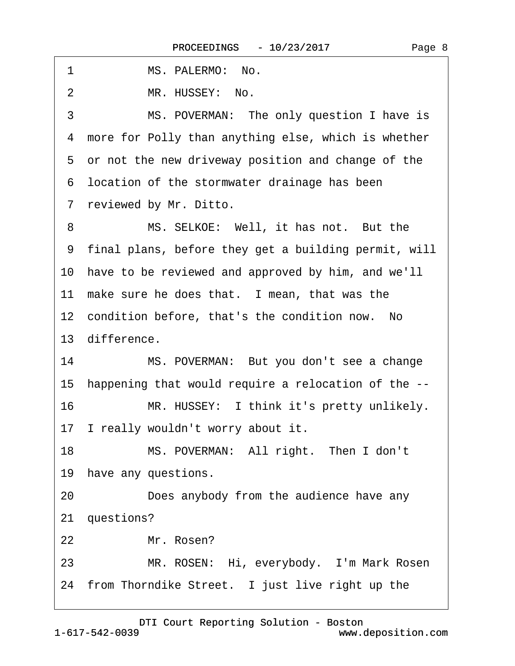<span id="page-7-0"></span>

| 1  | MS. PALERMO: No.                                       |
|----|--------------------------------------------------------|
| 2  | MR. HUSSEY: No.                                        |
| 3  | MS. POVERMAN: The only question I have is              |
| 4  | more for Polly than anything else, which is whether    |
|    | 5 or not the new driveway position and change of the   |
|    | 6 location of the stormwater drainage has been         |
|    | 7 reviewed by Mr. Ditto.                               |
| 8  | MS. SELKOE: Well, it has not. But the                  |
|    | 9 final plans, before they get a building permit, will |
|    | 10 have to be reviewed and approved by him, and we'll  |
|    | 11 make sure he does that. I mean, that was the        |
|    | 12 condition before, that's the condition now. No      |
|    | 13 difference.                                         |
| 14 | MS. POVERMAN: But you don't see a change               |
|    | 15 happening that would require a relocation of the -- |
| 16 | MR. HUSSEY: I think it's pretty unlikely.              |
|    | 17 I really wouldn't worry about it.                   |
| 18 | MS. POVERMAN: All right. Then I don't                  |
|    | 19 have any questions.                                 |
| 20 | Does anybody from the audience have any                |
|    | 21 questions?                                          |
| 22 | Mr. Rosen?                                             |
| 23 | MR. ROSEN: Hi, everybody. I'm Mark Rosen               |
|    | 24 from Thorndike Street. I just live right up the     |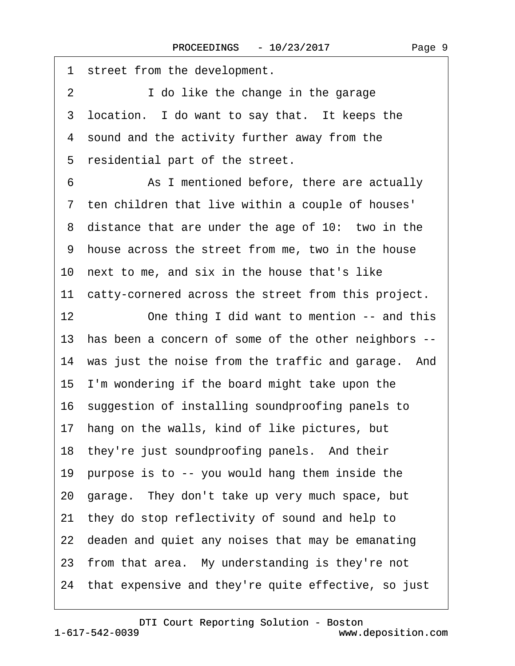<span id="page-8-0"></span>1 street from the development. 2 **I** do like the change in the garage 3 location. I do want to say that. It keeps the 4 sound and the activity further away from the 5 residential part of the street. 6 **8** As I mentioned before, there are actually 7 ten children that live within a couple of houses' 8 distance that are under the age of 10: two in the ·9· house across the street from me, two in the house 10· next to me, and six in the house that's like 11 catty-cornered across the street from this project. 12 One thing I did want to mention -- and this 13 has been a concern of some of the other neighbors --14 was just the noise from the traffic and garage. And 15· I'm wondering if the board might take upon the 16· suggestion of installing soundproofing panels to 17 hang on the walls, kind of like pictures, but 18 they're just soundproofing panels. And their 19 purpose is to -- you would hang them inside the 20· garage.· They don't take up very much space, but 21· they do stop reflectivity of sound and help to 22 deaden and quiet any noises that may be emanating 23 from that area. My understanding is they're not 24· that expensive and they're quite effective, so just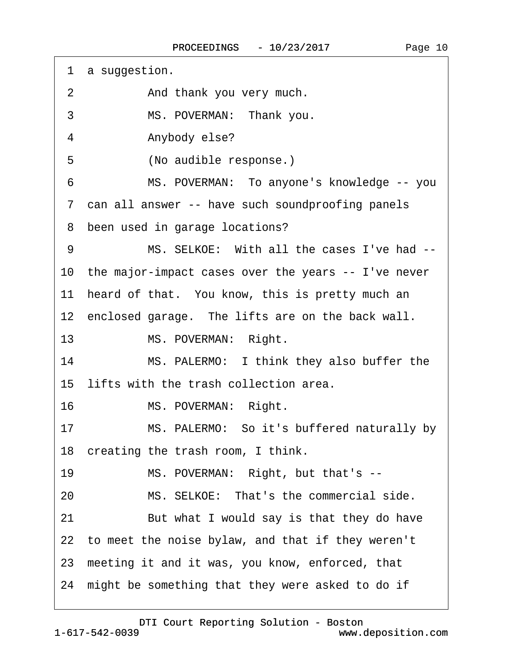| a suggestion.<br>1                                     |
|--------------------------------------------------------|
| $\overline{2}$<br>And thank you very much.             |
| 3<br>MS. POVERMAN: Thank you.                          |
| 4<br>Anybody else?                                     |
| 5<br>(No audible response.)                            |
| MS. POVERMAN: To anyone's knowledge -- you<br>6        |
| 7 can all answer -- have such soundproofing panels     |
| 8 been used in garage locations?                       |
| MS. SELKOE: With all the cases I've had --<br>9        |
| 10 the major-impact cases over the years -- I've never |
| 11 heard of that. You know, this is pretty much an     |
| 12 enclosed garage. The lifts are on the back wall.    |
| 13 <sup>°</sup><br>MS. POVERMAN: Right.                |
| MS. PALERMO: I think they also buffer the<br>14        |
| 15 lifts with the trash collection area.               |
| 16<br>MS. POVERMAN: Right.                             |
| MS. PALERMO: So it's buffered naturally by<br>17       |
| 18 creating the trash room, I think.                   |
| MS. POVERMAN: Right, but that's --<br>19               |
| MS. SELKOE: That's the commercial side.<br>20          |
| 21<br>But what I would say is that they do have        |
| 22 to meet the noise bylaw, and that if they weren't   |
| 23 meeting it and it was, you know, enforced, that     |
| 24 might be something that they were asked to do if    |

<span id="page-9-0"></span> $\Gamma$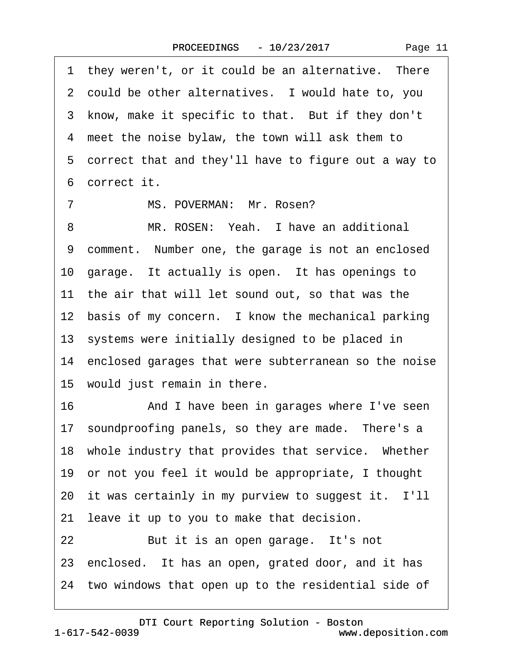<span id="page-10-0"></span>1 they weren't, or it could be an alternative. There 2 could be other alternatives. I would hate to, you 3 know, make it specific to that. But if they don't 4 meet the noise bylaw, the town will ask them to 5 correct that and they'll have to figure out a way to ·6· correct it. 7 MS. POVERMAN: Mr. Rosen? 8 MR. ROSEN: Yeah. I have an additional 9 comment. Number one, the garage is not an enclosed 10· garage.· It actually is open.· It has openings to 11 the air that will let sound out, so that was the 12 basis of my concern. I know the mechanical parking 13 systems were initially designed to be placed in 14 enclosed garages that were subterranean so the noise 15 would just remain in there. 16 • **And I have been in garages where I've seen** 17 soundproofing panels, so they are made. There's a 18 whole industry that provides that service. Whether 19· or not you feel it would be appropriate, I thought 20 it was certainly in my purview to suggest it. I'll 21 leave it up to you to make that decision. 22 But it is an open garage. It's not

23 enclosed. It has an open, grated door, and it has

24 two windows that open up to the residential side of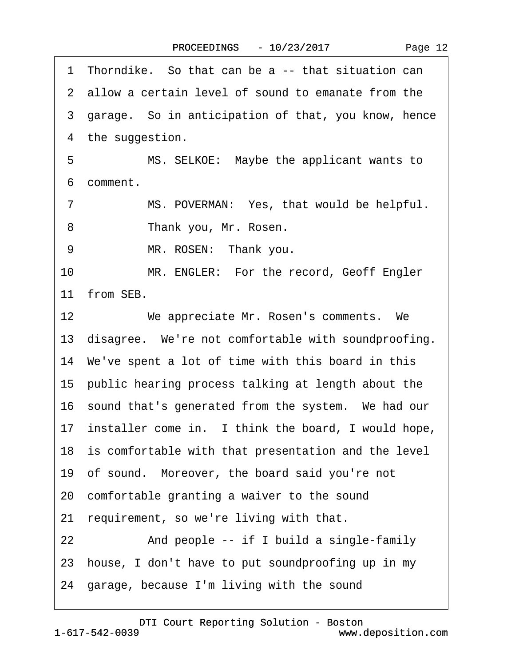|  | Page 12 |  |
|--|---------|--|
|--|---------|--|

<span id="page-11-0"></span>

|    | 1 Thorndike. So that can be a -- that situation can    |
|----|--------------------------------------------------------|
|    | 2 allow a certain level of sound to emanate from the   |
|    | 3 garage. So in anticipation of that, you know, hence  |
|    | 4 the suggestion.                                      |
| 5  | MS. SELKOE: Maybe the applicant wants to               |
|    | 6 comment.                                             |
| 7  | MS. POVERMAN: Yes, that would be helpful.              |
| 8  | Thank you, Mr. Rosen.                                  |
| 9  | MR. ROSEN: Thank you.                                  |
| 10 | MR. ENGLER: For the record, Geoff Engler               |
|    | 11 from SEB.                                           |
| 12 | We appreciate Mr. Rosen's comments. We                 |
|    | 13 disagree. We're not comfortable with soundproofing. |
|    | 14 We've spent a lot of time with this board in this   |
|    | 15 public hearing process talking at length about the  |
|    | 16 sound that's generated from the system. We had our  |
|    | 17 installer come in. I think the board, I would hope, |
|    | 18 is comfortable with that presentation and the level |
|    | 19 of sound. Moreover, the board said you're not       |
|    | 20 comfortable granting a waiver to the sound          |
|    | 21 requirement, so we're living with that.             |
| 22 | And people -- if I build a single-family               |
|    | 23 house, I don't have to put soundproofing up in my   |
|    | 24 garage, because I'm living with the sound           |
|    |                                                        |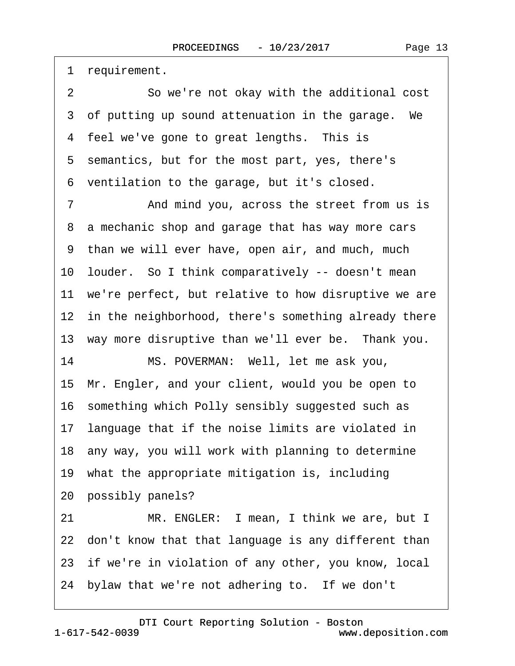<span id="page-12-0"></span>1 requirement.

2 So we're not okay with the additional cost 3 of putting up sound attenuation in the garage. We 4 feel we've gone to great lengths. This is 5 semantics, but for the most part, yes, there's ·6· ventilation to the garage, but it's closed.

7 • And mind you, across the street from us is 8 a mechanic shop and garage that has way more cars ·9· than we will ever have, open air, and much, much 10· louder.· So I think comparatively -- doesn't mean 11 we're perfect, but relative to how disruptive we are 12 in the neighborhood, there's something already there 13 way more disruptive than we'll ever be. Thank you. 14 MS. POVERMAN: Well, let me ask you, 15· Mr. Engler, and your client, would you be open to 16· something which Polly sensibly suggested such as 17 language that if the noise limits are violated in 18· any way, you will work with planning to determine 19· what the appropriate mitigation is, including 20 possibly panels? 21 MR. ENGLER: I mean, I think we are, but I 22 don't know that that language is any different than 23 if we're in violation of any other, you know, local

24 bylaw that we're not adhering to. If we don't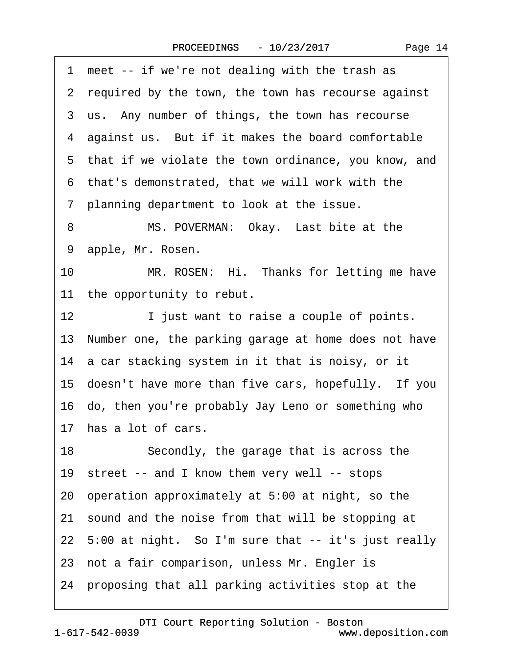<span id="page-13-0"></span>

| 1 meet -- if we're not dealing with the trash as        |
|---------------------------------------------------------|
| 2 required by the town, the town has recourse against   |
| 3 us. Any number of things, the town has recourse       |
| 4 against us. But if it makes the board comfortable     |
| 5 that if we violate the town ordinance, you know, and  |
| 6 that's demonstrated, that we will work with the       |
| 7 planning department to look at the issue.             |
| MS. POVERMAN: Okay. Last bite at the<br>8               |
| 9 apple, Mr. Rosen.                                     |
| 10<br>MR. ROSEN: Hi. Thanks for letting me have         |
| 11 the opportunity to rebut.                            |
| I just want to raise a couple of points.<br>12          |
| 13 Number one, the parking garage at home does not have |
| 14 a car stacking system in it that is noisy, or it     |
| 15 doesn't have more than five cars, hopefully. If you  |
| 16 do, then you're probably Jay Leno or something who   |
| 17 has a lot of cars.                                   |
| 18<br>Secondly, the garage that is across the           |
| 19 street -- and I know them very well -- stops         |
| 20 operation approximately at 5:00 at night, so the     |
| 21 sound and the noise from that will be stopping at    |
| 22 5:00 at night. So I'm sure that -- it's just really  |
| 23 not a fair comparison, unless Mr. Engler is          |
| 24 proposing that all parking activities stop at the    |
|                                                         |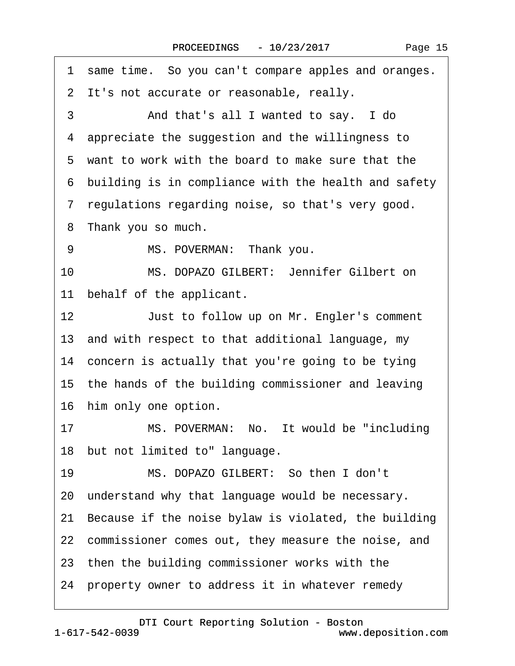<span id="page-14-0"></span>1 same time. So you can't compare apples and oranges. 2 It's not accurate or reasonable, really. 3 And that's all I wanted to say. I do 4 appreciate the suggestion and the willingness to ·5· want to work with the board to make sure that the ·6· building is in compliance with the health and safety ·7· regulations regarding noise, so that's very good. 8 Thank you so much. 9 MS. POVERMAN: Thank you. 10 MS. DOPAZO GILBERT: Jennifer Gilbert on 11 behalf of the applicant. 12 **Just to follow up on Mr. Engler's comment** 13· and with respect to that additional language, my 14 concern is actually that you're going to be tying 15 the hands of the building commissioner and leaving 16 him only one option. 17 MS. POVERMAN: No. It would be "including 18 but not limited to" language. 19 MS. DOPAZO GILBERT: So then I don't 20 understand why that language would be necessary. 21· Because if the noise bylaw is violated, the building 22 commissioner comes out, they measure the noise, and 23 then the building commissioner works with the 24 property owner to address it in whatever remedy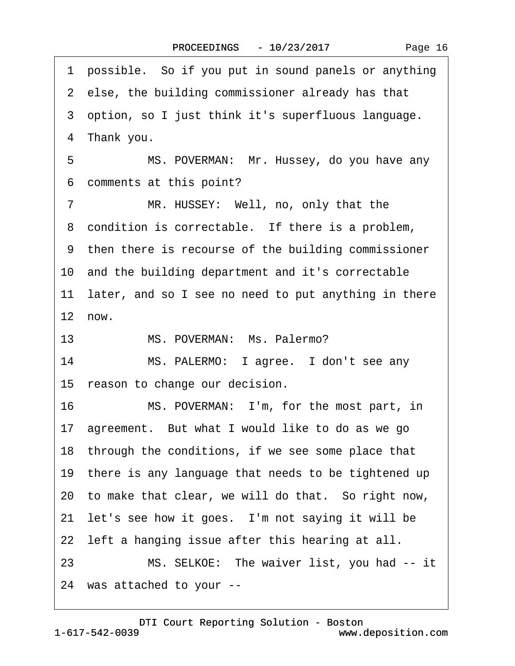<span id="page-15-0"></span>1 possible. So if you put in sound panels or anything 2 else, the building commissioner already has that ·3· option, so I just think it's superfluous language. 4 Thank you. 5 MS. POVERMAN: Mr. Hussey, do you have any 6 comments at this point? 7 MR. HUSSEY: Well, no, only that the 8 condition is correctable. If there is a problem, 9 then there is recourse of the building commissioner 10 and the building department and it's correctable 11 later, and so I see no need to put anything in there  $12$  now. 13 MS. POVERMAN: Ms. Palermo? 14 MS. PALERMO: I agree. I don't see any 15 reason to change our decision. 16 MS. POVERMAN: I'm, for the most part, in 17 agreement. But what I would like to do as we go 18 through the conditions, if we see some place that 19 there is any language that needs to be tightened up 20· to make that clear, we will do that.· So right now, 21 let's see how it goes. I'm not saying it will be 22 left a hanging issue after this hearing at all. 23 MS. SELKOE: The waiver list, you had -- it 24· was attached to your --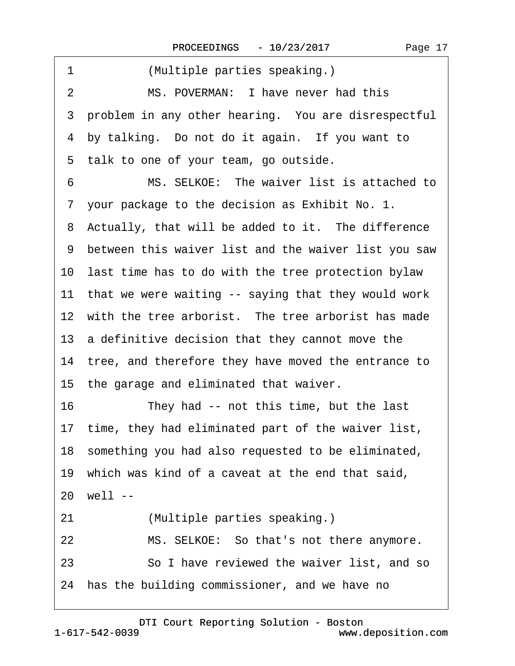<span id="page-16-0"></span>

| 1<br>(Multiple parties speaking.)                      |  |  |
|--------------------------------------------------------|--|--|
| MS. POVERMAN: I have never had this<br>2               |  |  |
| 3 problem in any other hearing. You are disrespectful  |  |  |
| 4 by talking. Do not do it again. If you want to       |  |  |
| 5 talk to one of your team, go outside.                |  |  |
| MS. SELKOE: The waiver list is attached to<br>6        |  |  |
| 7 your package to the decision as Exhibit No. 1.       |  |  |
| 8 Actually, that will be added to it. The difference   |  |  |
| 9 between this waiver list and the waiver list you saw |  |  |
| 10 last time has to do with the tree protection bylaw  |  |  |
| 11 that we were waiting -- saying that they would work |  |  |
| 12 with the tree arborist. The tree arborist has made  |  |  |
| 13 a definitive decision that they cannot move the     |  |  |
| 14 tree, and therefore they have moved the entrance to |  |  |
| 15 the garage and eliminated that waiver.              |  |  |
| 16<br>They had -- not this time, but the last          |  |  |
| 17 time, they had eliminated part of the waiver list,  |  |  |
| 18 something you had also requested to be eliminated,  |  |  |
| 19 which was kind of a caveat at the end that said,    |  |  |
| 20 well --                                             |  |  |
| (Multiple parties speaking.)<br>21                     |  |  |
| 22<br>MS. SELKOE: So that's not there anymore.         |  |  |
| 23<br>So I have reviewed the waiver list, and so       |  |  |
| 24 has the building commissioner, and we have no       |  |  |
|                                                        |  |  |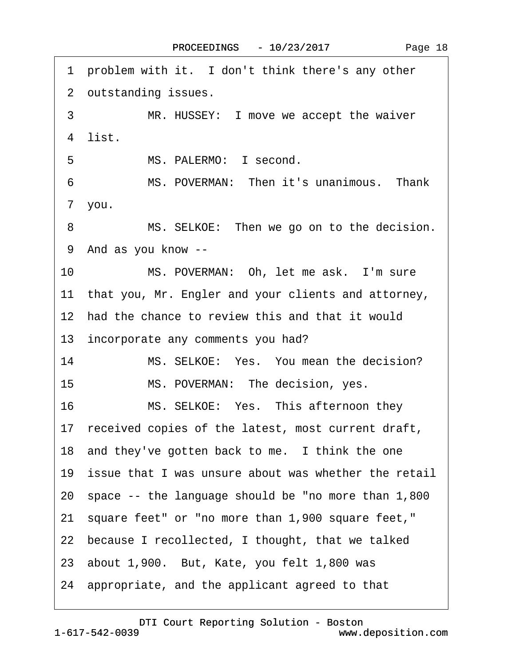<span id="page-17-0"></span>

| 1 problem with it. I don't think there's any other        |  |
|-----------------------------------------------------------|--|
| 2 outstanding issues.                                     |  |
| 3<br>MR. HUSSEY: I move we accept the waiver              |  |
| 4 list.                                                   |  |
| 5<br>MS. PALERMO: I second.                               |  |
| MS. POVERMAN: Then it's unanimous. Thank<br>6             |  |
| 7 you.                                                    |  |
| MS. SELKOE: Then we go on to the decision.<br>8           |  |
| 9 And as you know --                                      |  |
| 10 <sup>°</sup><br>MS. POVERMAN: Oh, let me ask. I'm sure |  |
| 11 that you, Mr. Engler and your clients and attorney,    |  |
| 12 had the chance to review this and that it would        |  |
| 13 incorporate any comments you had?                      |  |
| 14<br>MS. SELKOE: Yes. You mean the decision?             |  |
| 15 <sub>1</sub><br>MS. POVERMAN: The decision, yes.       |  |
| 16<br>MS. SELKOE: Yes. This afternoon they                |  |
| 17 received copies of the latest, most current draft,     |  |
| 18 and they've gotten back to me. I think the one         |  |
| 19 issue that I was unsure about was whether the retail   |  |
| 20 space -- the language should be "no more than 1,800    |  |
| 21 square feet" or "no more than 1,900 square feet,"      |  |
| 22 because I recollected, I thought, that we talked       |  |
| 23 about 1,900. But, Kate, you felt 1,800 was             |  |
| 24 appropriate, and the applicant agreed to that          |  |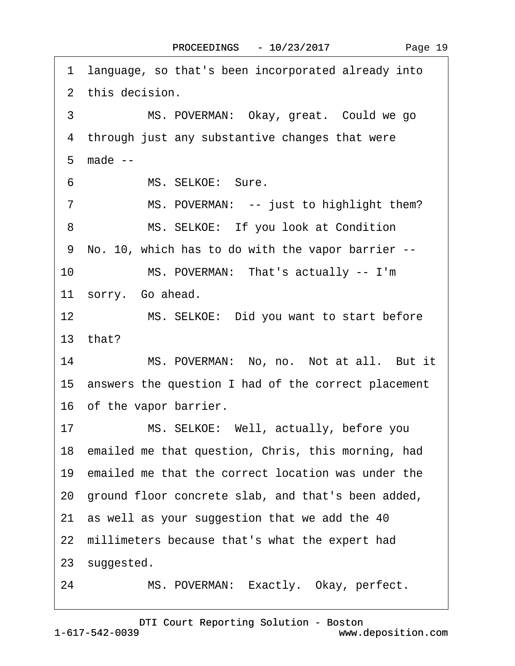<span id="page-18-0"></span>·1· language, so that's been incorporated already into 2 this decision. 3 MS. POVERMAN: Okay, great. Could we go 4 through just any substantive changes that were ·5· made -- 6 MS. SELKOE: Sure. 7 MS. POVERMAN: -- just to highlight them? 8 MS. SELKOE: If you look at Condition ·9· No. 10, which has to do with the vapor barrier -- 10 MS. POVERMAN: That's actually -- I'm 11 sorry. Go ahead. 12 MS. SELKOE: Did you want to start before 13· that? 14 MS. POVERMAN: No, no. Not at all. But it 15· answers the question I had of the correct placement 16 of the vapor barrier. 17 MS. SELKOE: Well, actually, before you 18 emailed me that question, Chris, this morning, had 19 emailed me that the correct location was under the 20· ground floor concrete slab, and that's been added, 21· as well as your suggestion that we add the 40 22 millimeters because that's what the expert had 23 suggested. 24 MS. POVERMAN: Exactly. Okay, perfect.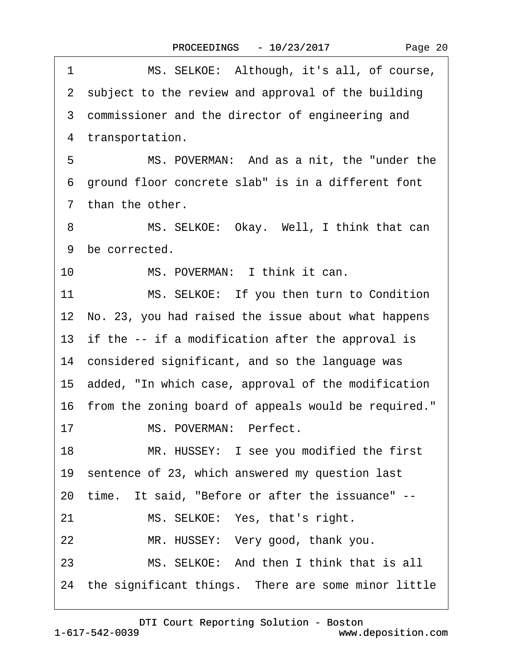|  | Page 20 |  |
|--|---------|--|
|--|---------|--|

<span id="page-19-0"></span>

| 1  | MS. SELKOE: Although, it's all, of course,              |
|----|---------------------------------------------------------|
|    | 2 subject to the review and approval of the building    |
|    | 3 commissioner and the director of engineering and      |
|    | 4 transportation.                                       |
| 5  | MS. POVERMAN: And as a nit, the "under the              |
| 6  | ground floor concrete slab" is in a different font      |
|    | 7 than the other.                                       |
| 8  | MS. SELKOE: Okay. Well, I think that can                |
|    | 9 be corrected.                                         |
| 10 | MS. POVERMAN: I think it can.                           |
| 11 | MS. SELKOE: If you then turn to Condition               |
|    | 12 No. 23, you had raised the issue about what happens  |
|    | 13 if the -- if a modification after the approval is    |
|    | 14 considered significant, and so the language was      |
|    | 15 added, "In which case, approval of the modification  |
|    | 16 from the zoning board of appeals would be required." |
| 17 | MS. POVERMAN: Perfect.                                  |
| 18 | MR. HUSSEY: I see you modified the first                |
|    | 19 sentence of 23, which answered my question last      |
|    | 20 time. It said, "Before or after the issuance" --     |
| 21 | MS. SELKOE: Yes, that's right.                          |
| 22 | MR. HUSSEY: Very good, thank you.                       |
| 23 | MS. SELKOE: And then I think that is all                |
|    | 24 the significant things. There are some minor little  |
|    |                                                         |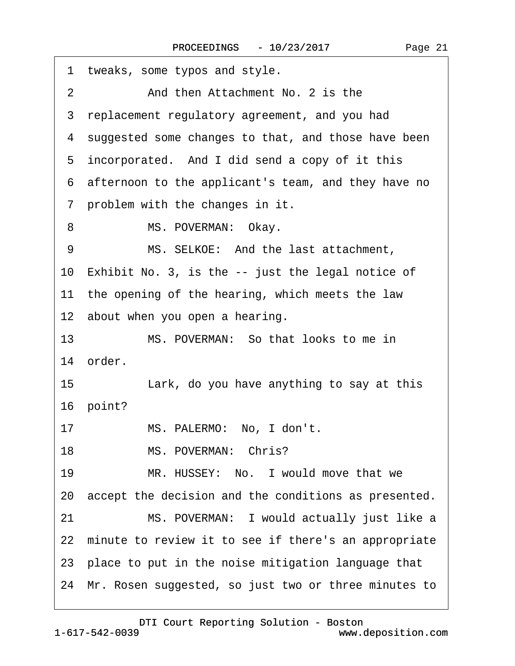<span id="page-20-0"></span>

| 1 tweaks, some typos and style.                         |
|---------------------------------------------------------|
| And then Attachment No. 2 is the<br>$\overline{2}$      |
| 3 replacement regulatory agreement, and you had         |
| 4 suggested some changes to that, and those have been   |
| 5 incorporated. And I did send a copy of it this        |
| 6 afternoon to the applicant's team, and they have no   |
| 7 problem with the changes in it.                       |
| MS. POVERMAN: Okay.<br>8                                |
| MS. SELKOE: And the last attachment,<br>9               |
| 10 Exhibit No. 3, is the -- just the legal notice of    |
| 11 the opening of the hearing, which meets the law      |
| 12 about when you open a hearing.                       |
| MS. POVERMAN: So that looks to me in<br>13              |
| 14 order.                                               |
| Lark, do you have anything to say at this<br>15         |
| 16 point?                                               |
| MS. PALERMO: No, I don't.<br>17                         |
| MS. POVERMAN: Chris?<br>18                              |
| MR. HUSSEY: No. I would move that we<br>19              |
| 20 accept the decision and the conditions as presented. |
| MS. POVERMAN: I would actually just like a<br>21        |
| 22 minute to review it to see if there's an appropriate |
| 23 place to put in the noise mitigation language that   |
| 24 Mr. Rosen suggested, so just two or three minutes to |
|                                                         |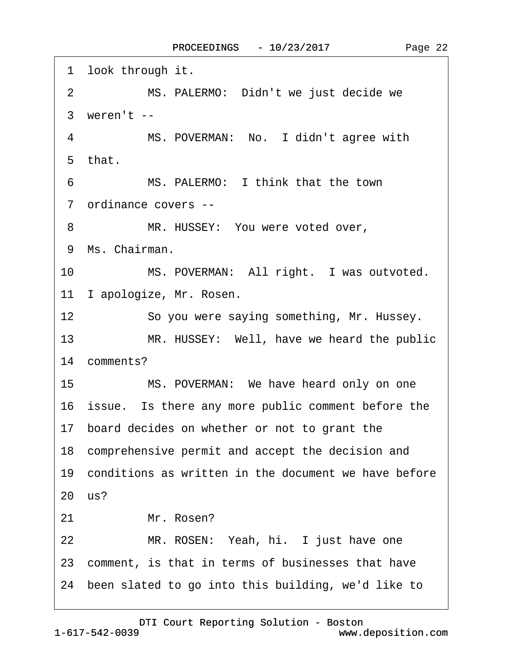<span id="page-21-0"></span>

| 1 look through it.                                            |
|---------------------------------------------------------------|
| MS. PALERMO: Didn't we just decide we<br>$\overline{2}$       |
| 3 weren't --                                                  |
| MS. POVERMAN: No. I didn't agree with<br>$\overline{4}$       |
| 5 that.                                                       |
| MS. PALERMO: I think that the town<br>6                       |
| 7 ordinance covers --                                         |
| MR. HUSSEY: You were voted over,<br>8                         |
| 9 Ms. Chairman.                                               |
| 10 <sup>1</sup><br>MS. POVERMAN: All right. I was outvoted.   |
| 11 I apologize, Mr. Rosen.                                    |
| 12 <sup>2</sup><br>So you were saying something, Mr. Hussey.  |
| 13 <sup>7</sup><br>MR. HUSSEY: Well, have we heard the public |
| 14 comments?                                                  |
| 15<br>MS. POVERMAN: We have heard only on one                 |
| 16 issue. Is there any more public comment before the         |
| 17 board decides on whether or not to grant the               |
| 18 comprehensive permit and accept the decision and           |
| 19 conditions as written in the document we have before       |
| 20 us?                                                        |
| Mr. Rosen?<br>21                                              |
| 22<br>MR. ROSEN: Yeah, hi. I just have one                    |
| 23 comment, is that in terms of businesses that have          |
| 24 been slated to go into this building, we'd like to         |
|                                                               |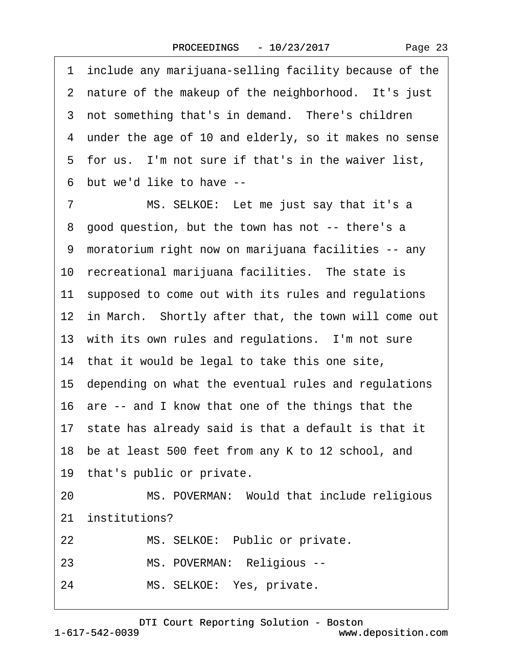Page 23

<span id="page-22-0"></span>

|    | 1 include any marijuana-selling facility because of the |
|----|---------------------------------------------------------|
|    | 2 nature of the makeup of the neighborhood. It's just   |
|    | 3 not something that's in demand. There's children      |
|    | 4 under the age of 10 and elderly, so it makes no sense |
|    | 5 for us. I'm not sure if that's in the waiver list,    |
|    | 6 but we'd like to have --                              |
| 7  | MS. SELKOE: Let me just say that it's a                 |
|    | 8 good question, but the town has not -- there's a      |
|    | 9 moratorium right now on marijuana facilities -- any   |
|    | 10 recreational marijuana facilities. The state is      |
|    | 11 supposed to come out with its rules and regulations  |
|    | 12 in March. Shortly after that, the town will come out |
|    | 13 with its own rules and regulations. I'm not sure     |
|    | 14 that it would be legal to take this one site,        |
|    | 15 depending on what the eventual rules and regulations |
|    | 16 are -- and I know that one of the things that the    |
|    | 17 state has already said is that a default is that it  |
|    | 18 be at least 500 feet from any K to 12 school, and    |
|    | 19 that's public or private.                            |
| 20 | MS. POVERMAN: Would that include religious              |
|    | 21 institutions?                                        |
| 22 | MS. SELKOE: Public or private.                          |
| 23 | MS. POVERMAN: Religious --                              |
| 24 | MS. SELKOE: Yes, private.                               |
|    |                                                         |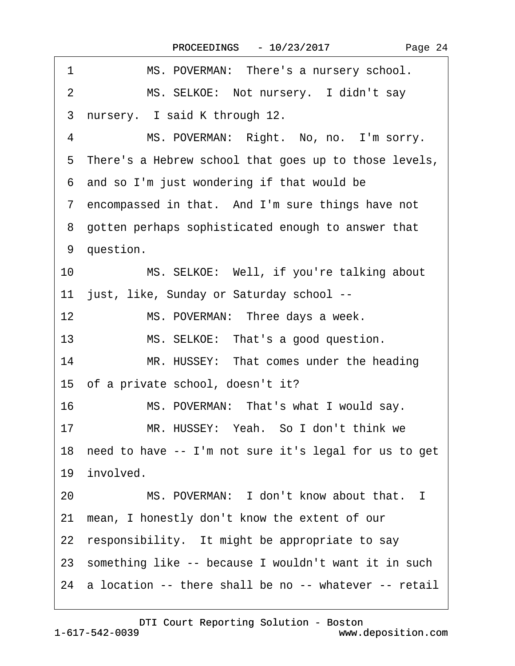<span id="page-23-0"></span>

| MS. POVERMAN: There's a nursery school.<br>1                 |
|--------------------------------------------------------------|
| MS. SELKOE: Not nursery. I didn't say<br>$\overline{2}$      |
| nursery. I said K through 12.<br>3                           |
| 4<br>MS. POVERMAN: Right. No, no. I'm sorry.                 |
| 5 There's a Hebrew school that goes up to those levels,      |
| 6 and so I'm just wondering if that would be                 |
| 7 encompassed in that. And I'm sure things have not          |
| 8 gotten perhaps sophisticated enough to answer that         |
| 9 question.                                                  |
| MS. SELKOE: Well, if you're talking about<br>10 <sup>1</sup> |
| 11 just, like, Sunday or Saturday school --                  |
| 12<br>MS. POVERMAN: Three days a week.                       |
| 13<br>MS. SELKOE: That's a good question.                    |
| 14<br>MR. HUSSEY: That comes under the heading               |
| 15 of a private school, doesn't it?                          |
| 16<br>MS. POVERMAN: That's what I would say.                 |
| MR. HUSSEY: Yeah. So I don't think we<br>17                  |
| 18 need to have -- I'm not sure it's legal for us to get     |
| 19 involved.                                                 |
| MS. POVERMAN: I don't know about that. I<br>20               |
| 21 mean, I honestly don't know the extent of our             |
| 22 responsibility. It might be appropriate to say            |
| 23 something like -- because I wouldn't want it in such      |
| 24 a location -- there shall be no -- whatever -- retail     |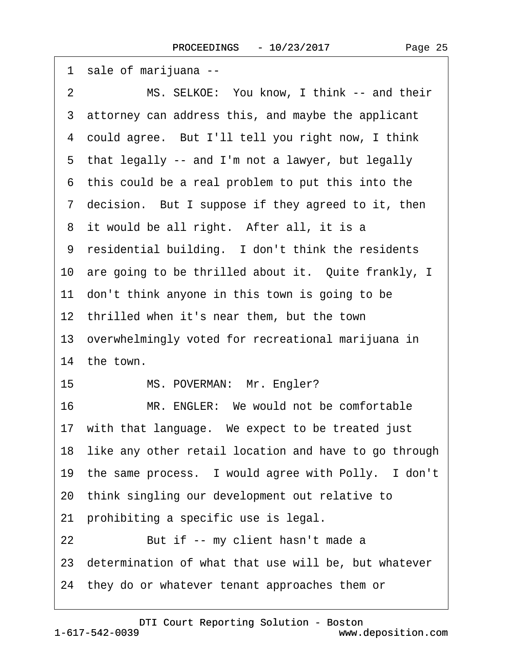| 1 sale of marijuana --                                   |
|----------------------------------------------------------|
| MS. SELKOE: You know, I think -- and their<br>2          |
| 3 attorney can address this, and maybe the applicant     |
| 4 could agree. But I'll tell you right now, I think      |
| 5 that legally -- and I'm not a lawyer, but legally      |
| 6 this could be a real problem to put this into the      |
| 7 decision. But I suppose if they agreed to it, then     |
| 8 it would be all right. After all, it is a              |
| 9 residential building. I don't think the residents      |
| 10 are going to be thrilled about it. Quite frankly, I   |
| 11 don't think anyone in this town is going to be        |
| 12 thrilled when it's near them, but the town            |
| 13 overwhelmingly voted for recreational marijuana in    |
| 14 the town.                                             |
| 15<br>MS. POVERMAN: Mr. Engler?                          |
| 16<br>MR. ENGLER: We would not be comfortable            |
| 17 with that language. We expect to be treated just      |
| 18 like any other retail location and have to go through |
| 19 the same process. I would agree with Polly. I don't   |
| 20 think singling our development out relative to        |
| 21 prohibiting a specific use is legal.                  |
| 22<br>But if -- my client hasn't made a                  |
| 23 determination of what that use will be, but whatever  |
| 24 they do or whatever tenant approaches them or         |
|                                                          |

<span id="page-24-0"></span> $\sqrt{ }$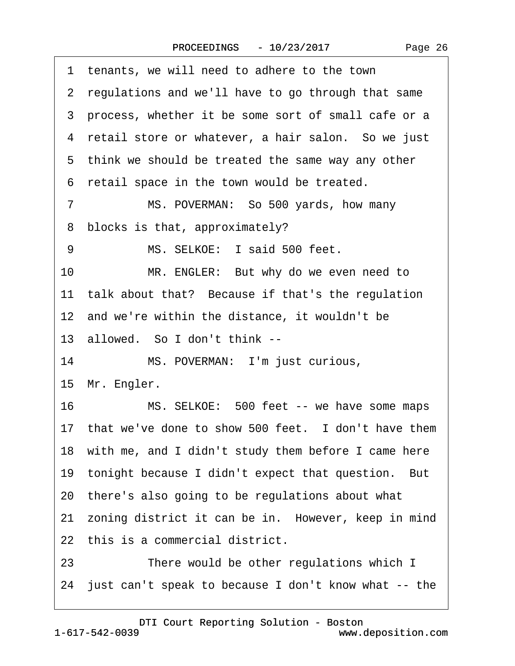<span id="page-25-0"></span>

| 1  | tenants, we will need to adhere to the town             |
|----|---------------------------------------------------------|
|    | 2 regulations and we'll have to go through that same    |
|    | 3 process, whether it be some sort of small cafe or a   |
|    | 4 retail store or whatever, a hair salon. So we just    |
|    | 5 think we should be treated the same way any other     |
|    | 6 retail space in the town would be treated.            |
| 7  | MS. POVERMAN: So 500 yards, how many                    |
| 8  | blocks is that, approximately?                          |
| 9  | MS. SELKOE: I said 500 feet.                            |
| 10 | MR. ENGLER: But why do we even need to                  |
|    | 11 talk about that? Because if that's the regulation    |
|    | 12 and we're within the distance, it wouldn't be        |
|    | 13 allowed. So I don't think --                         |
| 14 | MS. POVERMAN: I'm just curious,                         |
|    | 15 Mr. Engler.                                          |
|    | 16<br>MS. SELKOE: 500 feet -- we have some maps         |
|    | 17 that we've done to show 500 feet. I don't have them  |
|    | 18 with me, and I didn't study them before I came here  |
|    | 19 tonight because I didn't expect that question. But   |
|    | 20 there's also going to be regulations about what      |
|    | 21 zoning district it can be in. However, keep in mind  |
|    | 22 this is a commercial district.                       |
| 23 | There would be other regulations which I                |
|    | 24 just can't speak to because I don't know what -- the |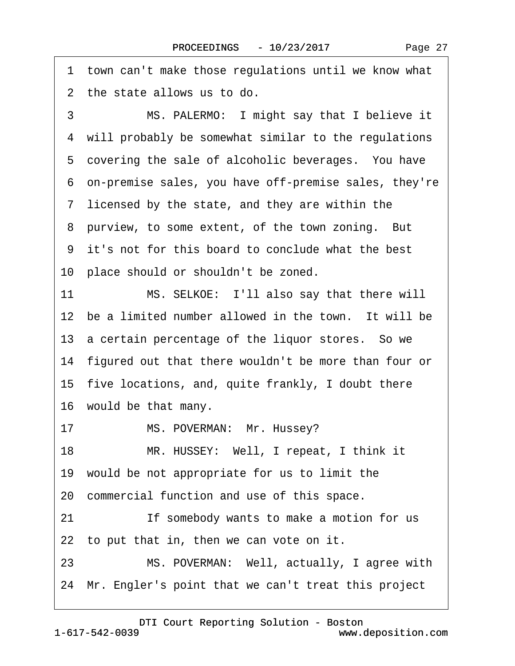<span id="page-26-0"></span>·1· town can't make those regulations until we know what 2 the state allows us to do.

3 MS. PALERMO: I might say that I believe it 4 will probably be somewhat similar to the regulations 5 covering the sale of alcoholic beverages. You have ·6· on-premise sales, you have off-premise sales, they're 7 licensed by the state, and they are within the 8 purview, to some extent, of the town zoning. But ·9· it's not for this board to conclude what the best 10 place should or shouldn't be zoned. 11 MS. SELKOE: I'll also say that there will 12 be a limited number allowed in the town. It will be 13 a certain percentage of the liquor stores. So we 14 figured out that there wouldn't be more than four or 15· five locations, and, quite frankly, I doubt there 16 would be that many.

17 MS. POVERMAN: Mr. Hussey?

18 MR. HUSSEY: Well, I repeat, I think it

19· would be not appropriate for us to limit the

20· commercial function and use of this space.

21 **If somebody wants to make a motion for us** 

22 to put that in, then we can vote on it.

23 MS. POVERMAN: Well, actually, I agree with

24 Mr. Engler's point that we can't treat this project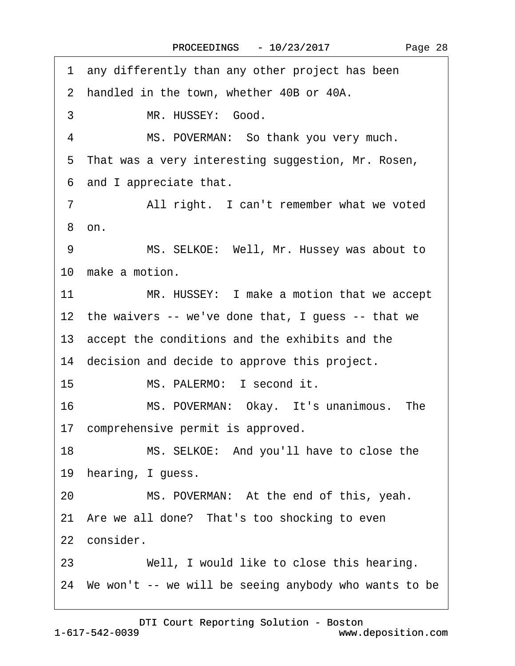Page 28

<span id="page-27-0"></span>1 any differently than any other project has been 2 handled in the town, whether 40B or 40A. 3 MR. HUSSEY: Good. 4 MS. POVERMAN: So thank you very much. 5 That was a very interesting suggestion, Mr. Rosen, ·6· and I appreciate that. 7 All right. I can't remember what we voted ·8· on. 9 MS. SELKOE: Well, Mr. Hussey was about to 10 make a motion. 11 MR. HUSSEY: I make a motion that we accept 12 the waivers -- we've done that, I guess -- that we 13· accept the conditions and the exhibits and the 14 decision and decide to approve this project. 15 MS. PALERMO: I second it. 16 MS. POVERMAN: Okay. It's unanimous. The 17 comprehensive permit is approved. 18 MS. SELKOE: And you'll have to close the 19 hearing, I guess. 20 MS. POVERMAN: At the end of this, yeah. 21 Are we all done? That's too shocking to even 22 consider. 23 Well, I would like to close this hearing. 24· We won't -- we will be seeing anybody who wants to be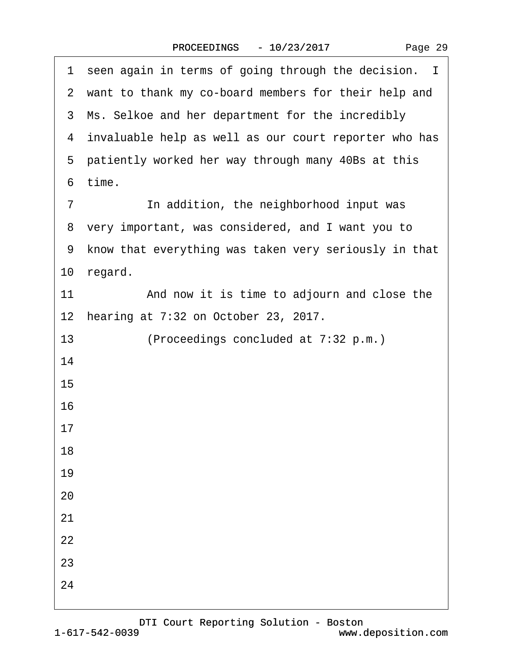|  | Page 29 |  |
|--|---------|--|
|--|---------|--|

<span id="page-28-0"></span>

| 1 seen again in terms of going through the decision. I  |
|---------------------------------------------------------|
| 2 want to thank my co-board members for their help and  |
| 3 Ms. Selkoe and her department for the incredibly      |
| 4 invaluable help as well as our court reporter who has |
| 5 patiently worked her way through many 40Bs at this    |
| 6 time.                                                 |
| In addition, the neighborhood input was<br>7            |
| 8 very important, was considered, and I want you to     |
| 9 know that everything was taken very seriously in that |
| 10 regard.                                              |
| And now it is time to adjourn and close the<br>11       |
| 12 hearing at 7:32 on October 23, 2017.                 |
| 13<br>(Proceedings concluded at 7:32 p.m.)              |
| 14                                                      |
| 15                                                      |
| 16                                                      |
| 17                                                      |
| 18                                                      |
| 19                                                      |
| 20                                                      |
| 21                                                      |
| 22                                                      |
| 23                                                      |
| 24                                                      |
|                                                         |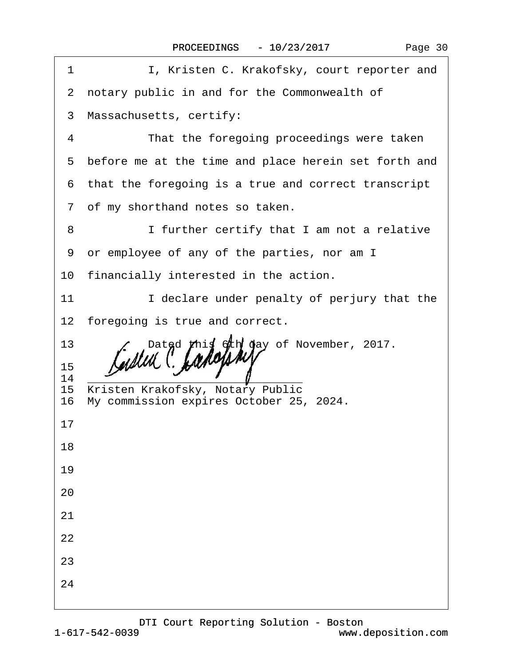| I, Kristen C. Krakofsky, court reporter and<br>1                                     |
|--------------------------------------------------------------------------------------|
| 2 notary public in and for the Commonwealth of                                       |
| Massachusetts, certify:<br>3                                                         |
| That the foregoing proceedings were taken<br>$\overline{4}$                          |
| before me at the time and place herein set forth and<br>5                            |
| that the foregoing is a true and correct transcript<br>6                             |
| 7 of my shorthand notes so taken.                                                    |
| I further certify that I am not a relative<br>8                                      |
| or employee of any of the parties, nor am I<br>9                                     |
| 10 financially interested in the action.                                             |
| I declare under penalty of perjury that the<br>11                                    |
| 12 foregoing is true and correct.                                                    |
| 13<br>Dated this 6th day of November, 2017.                                          |
| 15<br>14                                                                             |
| 15 Kristen Krakofsky, Notary Public<br>My commission expires October 25, 2024.<br>16 |
| 17                                                                                   |
| 18                                                                                   |
| 19                                                                                   |
| 20                                                                                   |
| 21                                                                                   |
| 22                                                                                   |
| 23                                                                                   |
| 24                                                                                   |
|                                                                                      |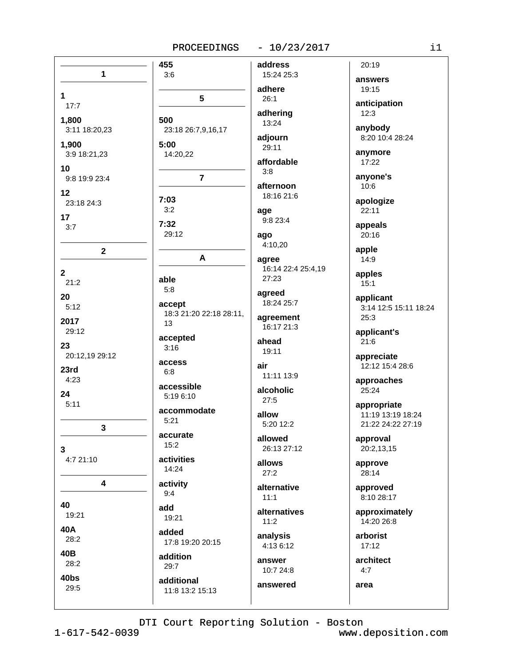#### $-10/23/2017$

| 1                              | 455<br>3:6          |
|--------------------------------|---------------------|
| 1<br>17:7                      | 5                   |
| 1,800                          | 500                 |
| 3:11 18:20,23                  | 23:18 26:7,9,16,1   |
| 1,900                          | 5:00                |
| 3:9 18:21,23                   | 14:20,22            |
| 10<br>9:8 19:9 23:4            | $\overline{7}$      |
| 12                             | 7:03                |
| 23:18 24:3                     | 3:2                 |
| 17                             | 7:32                |
| 3:7                            | 29:12               |
| 2                              | A                   |
| $\overline{\mathbf{2}}$        | able                |
| 21:2                           | 5:8                 |
| 20                             | accept              |
| 5:12                           | 18:3 21:20 22:18    |
| 2017                           | 13                  |
| 29:12                          | accepted            |
| 23                             | 3:16                |
| 20:12,19 29:12<br>23rd<br>4:23 | access<br>6:8       |
| 24                             | accessible          |
| 5:11                           | 5:19 6:10           |
| 3                              | accommodate<br>5:21 |
| 3                              | accurate<br>15:2    |
| 4:7 21:10                      | activities<br>14:24 |
| 4                              | activity<br>9:4     |
| 40                             | add                 |
| 19:21                          | 19:21               |
| 40A                            | added               |
| 28:2                           | 17:8 19:20 20:15    |
| 40B                            | addition            |
| 28:2                           | 29:7                |
| 40bs                           | additional          |
| 29:5                           | 11:8 13:2 15:13     |
|                                |                     |

address 15:24 25:3 adhere  $26:1$ adhering 13:24 ,9,16,17 adjourn 29:11 affordable  $3:8$ afternoon 18:16 21:6 age 9:8 23:4 ago 4:10.20 agree 16:14 22:4 25:4,19 27:23 agreed 18:24 25:7 22:18 28:11, agreement 16:17 21:3 ahead 19:11 air 11:11 13:9 alcoholic  $27:5$ allow 5:20 12:2 allowed 26:13 27:12 allows  $27:2$ alternative  $11:1$ alternatives  $11:2$ analysis 4:13 6:12 answer 10:7 24:8

19:15  $12:3$ anybody anymore 17:22 anyone's  $10:6$  $22:11$ appeals 20:16 apple  $14:9$ apples  $15:1$ applicant  $25:3$  $21:6$ 25:24 approval 28:14  $17:12$  $4:7$ 

20:19 answers

anticipation

8:20 10:4 28:24

apologize

3:14 12:5 15:11 18:24

applicant's

appreciate 12:12 15:4 28:6

approaches

appropriate 11:19 13:19 18:24 21:22 24:22 27:19

20:2,13,15

approve

approved 8:10 28:17

approximately 14:20 26:8

arborist

architect

area

answered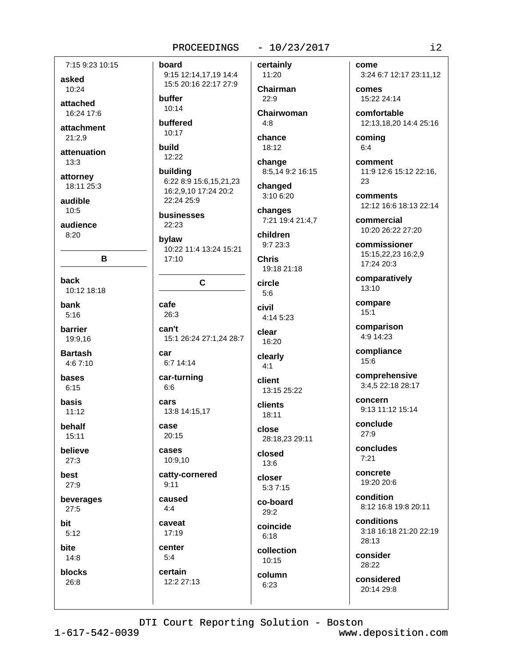## 7:15 9:23 10:15 asked

10:24

attached 16:24 17:6

attachment  $21:2.9$ 

attenuation  $13:3$ 

attorney 18:11 25:3

audible  $10.5$ 

audience  $8:20$ 

 $\mathbf{B}$ 

back 10:12 18:18

bank  $5:16$ 

barrier 19:9.16

**Bartash**  $4.67.10$ 

bases  $6:15$ 

basis  $11.12$ 

behalf 15:11

**believe** 

 $27:3$ 

best  $27:9$ 

beverages

 $27:5$ 

bit  $5:12$ 

**bite**  $14:8$ 

blocks

 $26:8$ 

9:15 12:14,17,19 14:4 15:5 20:16 22:17 27:9 buffer

 $10:14$ 

board

buffered 10:17

build 12:22

building 6:22 8:9 15:6,15,21,23 16:2,9,10 17:24 20:2 22:24 25:9

businesses  $22:23$ 

bylaw 10:22 11:4 13:24 15:21 17:10

### $\mathbf{C}$

cafe 26:3 can't 15:1 26:24 27:1,24 28:7 car

6:7 14:14 car-turning

 $6:6$ cars 13:8 14:15,17

case  $20:15$ 

cases 10:9.10

catty-cornered  $9:11$ 

caused  $4:4$ caveat

17:19 center

 $5:4$ 

certain

12:2 27:13

certainly

 $-10/23/2017$ 

Chairman  $22:9$ 

11:20

Chairwoman  $4:8$ 

chance  $18:12$ 

change 8:5,14 9:2 16:15

changed 3:10 6:20

changes

7:21 19:4 21:4,7 children

 $9:723:3$ **Chris** 

19:18 21:18

circle  $5:6$ civil

4:14 5:23 clear

16:20

clearly  $4:1$ 

client 13:15 25:22

clients 18:11

close 28:18,23 29:11

closed 13:6

closer  $5:37:15$ 

co-board  $29:2$ 

coincide  $6:18$ 

collection 10:15

column  $6:23$ 

come 3:24 6:7 12:17 23:11,12

comes 15:22 24:14

comfortable 12:13,18,20 14:4 25:16

coming  $6:4$ 

comment 11:9 12:6 15:12 22:16, 23

comments 12:12 16:6 18:13 22:14

commercial 10:20 26:22 27:20

commissioner 15:15,22,23 16:2,9 17:24 20:3

comparatively  $13:10$ 

compare  $15:1$ 

comparison 4:9 14:23

compliance 15:6

comprehensive 3:4,5 22:18 28:17

concern 9:13 11:12 15:14

conclude  $27.9$ 

concludes  $7:21$ 

concrete 19:20 20:6

condition 8:12 16:8 19:8 20:11

conditions 3:18 16:18 21:20 22:19 28:13

consider  $28.22$ 

considered 20:14 29:8

DTI Court Reporting Solution - Boston

 $1 - 617 - 542 - 0039$ 

www.deposition.com

 $i2$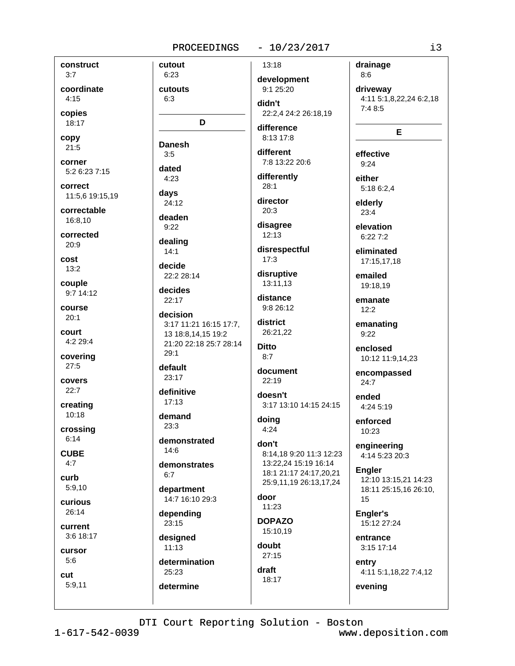cutout

 $6:23$ 

#### $-10/23/2017$

 $13:18$ 

construct  $3:7$ 

coordinate  $4:15$ 

copies

18:17 copy

 $21:5$ 

corner 5:2 6:23 7:15

correct 11:5,6 19:15,19

correctable 16:8,10

corrected  $20:9$ 

cost  $13:2$ 

couple  $9:714:12$ 

course  $20:1$ 

court  $4:229:4$ 

covering  $27:5$ 

covers

 $22:7$ creating

10:18

crossing  $6:14$ 

**CUBE** 

 $4:7$ 

curb  $5:9.10$ 

curious

 $26:14$ 

current 3:6 18:17

cursor  $5:6$ 

cut  $5:9,11$  cutouts  $6:3$ didn't D difference **Danesh**  $3:5$ dated  $4.23$  $28:1$ davs 24:12  $20:3$ deaden  $9:22$ dealing  $14:1$  $17:3$ decide 22:2 28:14 13:11,13 decides  $22:17$ decision 3:17 11:21 16:15 17:7, 13 18:8,14,15 19:2 21:20 22:18 25:7 28:14 **Ditto**  $29:1$  $8:7$ default  $23:17$ definitive  $17:13$ demand doina  $23:3$  $4:24$ demonstrated don't  $14:6$ 13:22,24 15:19 16:14 demonstrates 18:1 21:17 24:17,20,21  $6:7$ department door 14:7 16:10 29:3  $11:23$ depending 23:15 15:10,19 designed  $11:13$  $27:15$ determination draft 25:23 18:17

development 9:1 25:20

22:2.4 24:2 26:18.19

8:13 17:8

different 7:8 13:22 20:6

differently

director

disagree  $12:13$ 

disrespectful

disruptive

distance 9:8 26:12

district 26:21.22

document 22:19

doesn't 3:17 13:10 14:15 24:15

8:14,18 9:20 11:3 12:23

## 25:9,11,19 26:13,17,24

**DOPAZO** 

doubt

drainage  $8:6$ 

driveway 4:11 5:1,8,22,24 6:2,18  $7:48:5$ 

#### E

effective  $9:24$ 

either 5:18 6:2.4

elderly  $23:4$ 

elevation  $6:227:2$ 

eliminated 17:15.17.18

emailed 19:18,19

emanate  $12:2$ 

emanating  $9:22$ 

enclosed 10:12 11:9,14,23

encompassed  $24:7$ 

ended 4:24 5:19

enforced 10:23

engineering 4:14 5:23 20:3

**Engler** 12:10 13:15.21 14:23 18:11 25:15,16 26:10, 15

Engler's 15:12 27:24

entrance 3:15 17:14

entry 4:11 5:1,18,22 7:4,12

evening

DTI Court Reporting Solution - Boston

determine

 $1 - 617 - 542 - 0039$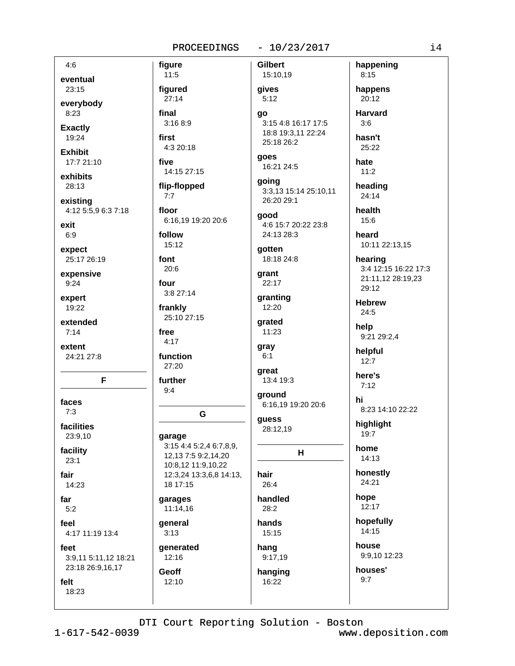figure

 $11:5$ 

figured

 $27:14$ 

 $3:168:9$ 

4:3 20:18

14:15 27:15

final

first

five

#### $-10/23/2017$

 $4:6$ eventual 23:15 everybody 8:23 **Exactly** 19:24 **Exhibit** 17:7 21:10 exhibits 28:13 existing 4:12 5:5,9 6:3 7:18 exit  $6:9$ expect 25:17 26:19 expensive  $9:24$ expert 19:22

extended  $7:14$ 

extent 24:21 27:8

F

faces  $7.3$ 

facilities 23:9,10

facility

 $23:1$ 

fair

14:23

18:23

far  $5:2$ 

feel 4:17 11:19 13:4

feet 3:9,11 5:11,12 18:21

23:18 26:9,16,17 felt

flip-flopped  $7:7$ floor 6:16,19 19:20 20:6 follow  $15:12$ font  $20:6$ four  $3:827:14$ frankly 25:10 27:15 free  $4:17$ function 27:20 further  $9:4$ garage 3:15 4:4 5:2,4 6:7,8,9, 12,13 7:5 9:2,14,20 10:8,12 11:9,10,22 12:3,24 13:3,6,8 14:13, 18 17:15 garages 11:14,16 general  $3:13$ qenerated  $12:16$ Geoff 12:10

G

**Gilbert** 15:10,19 gives  $5:12$ ao 3:15 4:8 16:17 17:5 18:8 19:3,11 22:24 25:18 26:2 qoes 16:21 24:5 going 3:3,13 15:14 25:10,11 26:20 29:1 good 4:6 15:7 20:22 23:8 24:13 28:3 qotten 18:18 24:8 grant 22:17 granting 12:20 arated  $11:23$ gray  $6:1$ great 13:4 19:3 ground 6:16,19 19:20 20:6 guess 28:12.19 н hair  $26.4$ handled  $28:2$ hands

15:15 hang 9:17,19 hanging

16:22

happening  $8:15$ happens 20:12 **Harvard**  $3:6$ hasn't 25:22 hate  $11:2$ heading  $24:14$ health

 $15:6$ heard 10:11 22:13,15

hearing

3:4 12:15 16:22 17:3 21:11,12 28:19,23 29:12

**Hebrew** 24:5

help 9:21 29:2,4

helpful  $12:7$ 

here's

 $7:12$ hi

8:23 14:10 22:22

highlight  $19:7$ 

home 14:13

honestly 24:21

hope 12:17

hopefully 14:15

house 9:9.10 12:23

houses'

 $9:7$ 

DTI Court Reporting Solution - Boston

 $1 - 617 - 542 - 0039$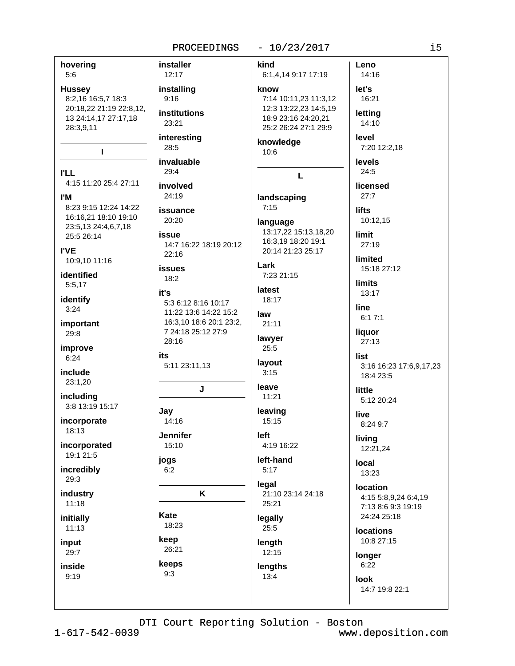#### $-10/23/2017$

hovering **installer** kind Leno 12:17 14:16  $5:6$ 6:1,4,14 9:17 17:19 installing let's **Hussey** know 7:14 10:11.23 11:3.12 16:21 8:2,16 16:5,7 18:3  $9:16$ 20:18.22 21:19 22:8.12. 12:3 13:22,23 14:5,19 institutions lettina 13 24:14,17 27:17,18 18:9 23:16 24:20,21 23:21 14:10 25:2 26:24 27:1 29:9 28:3,9,11 interesting level knowledge 28:5 7:20 12:2.18  $\mathbf{I}$  $10:6$ invaluable levels  $29:4$  $24:5$ **PLL** L 4:15 11:20 25:4 27:11 involved licensed 24:19  $27:7$ **I'M** landscaping 8:23 9:15 12:24 14:22  $7:15$ issuance **lifts** 16:16,21 18:10 19:10  $20:20$ 10:12,15 language 23:5,13 24:4,6,7,18 13:17,22 15:13,18,20 issue limit 25:5 26:14 16:3,19 18:20 19:1 14:7 16:22 18:19 20:12  $27:19$ **I'VE** 20:14 21:23 25:17  $22.16$ limited 10:9,10 11:16 Lark **issues** 15:18 27:12 identified 7:23 21:15  $18:2$ **limits** 5:5,17 latest it's  $13:17$ identify 18:17 5:3 6:12 8:16 10:17  $3:24$ line 11:22 13:6 14:22 15:2 law  $6:17:1$ 16:3.10 18:6 20:1 23:2. important 21:11 7 24:18 25:12 27:9 liquor 29:8 lawyer 28:16  $27:13$ improve 25:5 its list  $6:24$ layout 5:11 23:11,13 3:16 16:23 17:6,9,17,23 include  $3:15$ 18:4 23:5 23:1.20 leave J little including 11:21 5:12 20:24 3:8 13:19 15:17 Jay leaving live  $14:16$ incorporate 15:15 8:24 9:7 18:13 **Jennifer** left living incorporated 15:10 4:19 16:22 12:21,24 19:1 21:5 jogs left-hand local incredibly  $5:17$  $6:2$ 13:23 29:3 legal location K 21:10 23:14 24:18 industry 4:15 5:8.9.24 6:4.19  $11:18$ 25:21 7:13 8:6 9:3 19:19 Kate 24:24 25:18 initially legally 18:23  $11:13$  $25:5$ **locations** keep 10:8 27:15 input length 26:21 29:7  $12:15$ longer keeps  $6:22$ inside lengths  $9:3$  $9:19$ 13:4 look 14:7 19:8 22:1

DTI Court Reporting Solution - Boston

 $1 - 617 - 542 - 0039$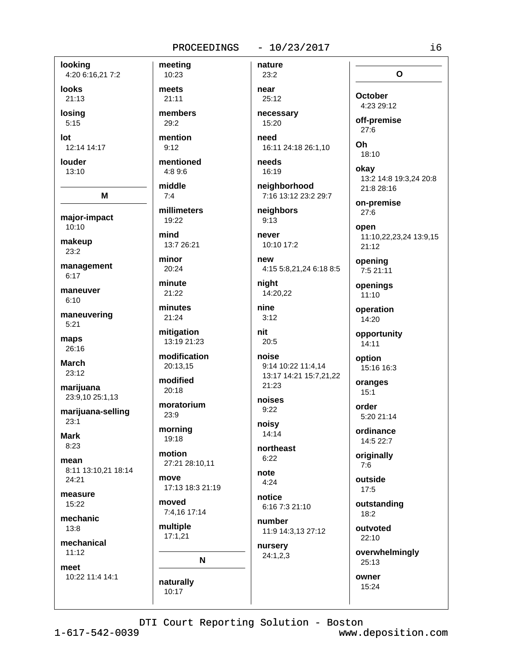# 4:20 6:16,21 7:2

**looks**  $21:13$ losina

looking

 $5:15$ 

lot 12:14 14:17

louder 13:10

M major-impact 10:10

makeup  $23:2$ 

management  $6:17$ 

maneuver  $6:10$ 

maneuvering  $5:21$ 

maps 26:16

**March** 23:12

marijuana 23:9,10 25:1,13

marijuana-selling  $23:1$ 

**Mark**  $8:23$ 

mean 8:11 13:10,21 18:14 24:21

measure 15:22

mechanic  $13:8$ 

mechanical  $11:12$ 

meet

10:22 11:4 14:1

meeting 10:23 meets  $21:11$ members 29:2 mention  $9:12$ mentioned  $4:89:6$ middle  $7:4$ millimeters 19:22 mind 13:7 26:21 minor 20:24 minute  $21:22$ minutes 21:24 mitigation 13:19 21:23 modification 20:13.15 modified

 $20:18$ 

moratorium  $23:9$ 

morning 19:18

motion 27:21 28:10,11

move 17:13 18:3 21:19

moved 7:4,16 17:14

multiple  $17:1,21$ 

naturally

10:17

N

 $-10/23/2017$ 

nature

23:2 near 25:12

necessary 15:20

need 16:11 24:18 26:1.10

needs 16:19

neighborhood

neighbors

never

4:15 5:8,21,24 6:18 8:5

niaht 14:20.22

nine  $3:12$ 

nit  $20:5$ 

```
noise
9:14 10:22 11:4,14
13:17 14:21 15:7,21,22
21:23
```
noises  $9:22$ 

noisv  $14:14$ 

 $6:22$ 

 $4:24$ 

6:16 7:3 21:10

11:9 14:3,13 27:12

nursery  $24:1,2,3$ 

7:16 13:12 23:2 29:7

 $9:13$ 

10:10 17:2

new

northeast

note

notice

number

 $27:6$ Oh 18:10 okav 13:2 14:8 19:3,24 20:8 21:8 28:16 on-premise  $27:6$ open

 $\Omega$ 

**October** 

4:23 29:12

off-premise

11:10,22,23,24 13:9,15  $21:12$ 

opening 7:5 21:11

openings  $11:10$ 

operation 14:20

opportunity  $14:11$ 

option 15:16 16:3

oranges  $15:1$ 

order 5:20 21:14

ordinance 14:5 22:7

originally  $7:6$ 

outside  $17:5$ 

outstanding 18:2

outvoted  $22:10$ 

overwhelmingly

 $25:13$ 

owner

15:24

DTI Court Reporting Solution - Boston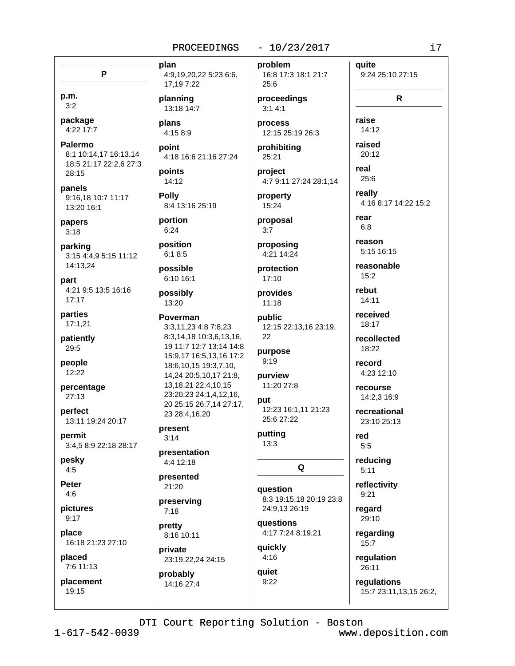#### $-10/23/2017$

P

p.m.  $3:2$ 

package 4:22 17:7

**Palermo** 8:1 10:14.17 16:13.14 18:5 21:17 22:2,6 27:3 28:15

panels 9:16.18 10:7 11:17 13:20 16:1

papers  $3:18$ 

parking 3:15 4:4,9 5:15 11:12 14:13,24

part 4:21 9:5 13:5 16:16  $17:17$ 

parties  $17:1,21$ 

patiently 29:5

people 12:22

percentage  $27:13$ 

perfect 13:11 19:24 20:17

permit 3:4,5 8:9 22:18 28:17

pesky  $4:5$ 

**Peter**  $4:6$ 

pictures  $9:17$ 

place 16:18 21:23 27:10

placed 7:6 11:13

placement 19:15

plan 4:9,19,20,22 5:23 6:6, 17,197:22

planning 13:18 14:7

plans 4:15 8:9

point 4:18 16:6 21:16 27:24

points 14:12

**Polly** 8:4 13:16 25:19

portion  $6:24$ 

position  $6:18:5$ 

possible 6:10 16:1

possibly 13:20

Poverman 3:3.11.23 4:8 7:8.23 8:3,14,18 10:3,6,13,16, 19 11:7 12:7 13:14 14:8 15:9,17 16:5,13,16 17:2 18:6, 10, 15 19:3, 7, 10, 14,24 20:5,10,17 21:8, 13, 18, 21 22: 4, 10, 15 23:20,23 24:1,4,12,16, 20 25:15 26:7.14 27:17. 23 28:4.16.20

present  $3:14$ 

presentation 4:4 12:18

presented 21:20

preserving  $7:18$ 

pretty 8:16 10:11

private 23:19,22,24 24:15

probably 14:16 27:4 problem 16:8 17:3 18:1 21:7 25:6

proceedings  $3:14:1$ 

process 12:15 25:19 26:3

prohibiting 25:21

project 4:7 9:11 27:24 28:1,14

property  $15:24$ 

proposal  $3:7$ 

proposing 4:21 14:24

protection  $17:10$ 

provides  $11:18$ 

public 12:15 22:13,16 23:19, 22

purpose  $9:19$ 

purview 11:20 27:8

put 12:23 16:1,11 21:23 25:6 27:22

putting  $13:3$ 

Q

question 8:3 19:15,18 20:19 23:8 24:9,13 26:19

questions 4:17 7:24 8:19,21

quickly  $4:16$ 

quiet  $9:22$  quite 9:24 25:10 27:15  $\mathsf{R}$ 

raise  $14:12$ raised 20:12

real  $25:6$ 

really 4:16 8:17 14:22 15:2

rear  $6.8$ 

reason

5:15 16:15 reasonable

 $15:2$ 

rebut  $14:11$ 

received 18:17

recollected 18:22

record

4:23 12:10

recourse 14:2,3 16:9

recreational 23:10 25:13

red  $5:5$ 

reducing  $5:11$ 

reflectivity  $9:21$ 

regard 29:10

regarding  $15:7$ 

> regulation 26:11

regulations 15:7 23:11,13,15 26:2,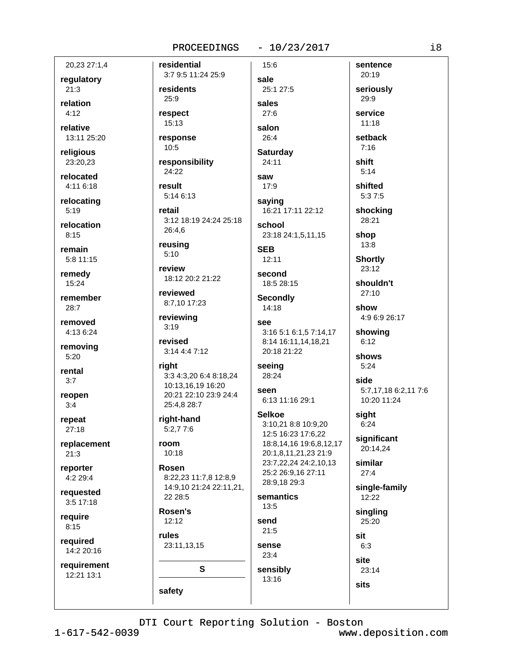#### $-10/23/2017$

20,23 27:1,4

regulatory

 $21:3$ 

relation  $4.12$ 

relative 13:11 25:20

religious

23:20,23

relocated 4:11 6:18

relocating  $5:19$ 

relocation  $8:15$ 

remain 5:8 11:15

remedy 15:24

remember  $28:7$ 

removed 4:13 6:24

removing  $5:20$ 

rental  $3:7$ 

reopen  $3:4$ 

repeat  $27:18$ 

replacement  $21:3$ 

reporter  $4:229:4$ 

requested  $3:5$  17:18

require  $8:15$ 

required 14:2 20:16

requirement 12:21 13:1

3:7 9:5 11:24 25:9 residents 25:9 respect

residential

15:13 response

 $10:5$ 

responsibility 24:22

result 5:14 6:13

retail 3:12 18:19 24:24 25:18 26:4,6

reusing  $5:10$ 

review 18:12 20:2 21:22

reviewed 8:7,10 17:23

reviewing  $3:19$ 

revised 3:14 4:4 7:12

right 3:3 4:3,20 6:4 8:18,24 10:13,16,19 16:20 20:21 22:10 23:9 24:4 25:4,8 28:7

right-hand  $5:2.77:6$ 

#### room  $10:18$

Rosen 8:22,23 11:7,8 12:8,9 14:9,10 21:24 22:11,21, 22 28:5

Rosen's  $12:12$ 

rules 23:11,13,15

 $\mathbf{s}$ 

safety

sale 25:1 27:5 sales  $27:6$ 

15:6

salon  $26:4$ **Saturday** 

24:11 saw

 $17:9$ 

saying 16:21 17:11 22:12 school

23:18 24:1,5,11,15 **SEB** 

12:11

second 18:5 28:15

**Secondly** 14:18

**See** 3:16 5:1 6:1,5 7:14,17

8:14 16:11,14,18,21 20:18 21:22

#### seeing 28:24

seen 6:13 11:16 29:1

**Selkoe** 

3:10.21 8:8 10:9.20 12:5 16:23 17:6,22 18:8,14,16 19:6,8,12,17 20:1,8,11,21,23 21:9 23:7,22,24 24:2,10,13 25:2 26:9,16 27:11 28:9.18 29:3 semantics  $13:5$ send  $21:5$ sense  $23:4$ sensibly 13:16

29:9 service  $11:18$ setback  $7:16$ shift  $5:14$ shifted  $5:37:5$ 

sentence

seriously

20:19

shocking 28:21

shop  $13:8$ 

**Shortly** 23:12

shouldn't  $27:10$ 

show 4:9 6:9 26:17

showing  $6:12$ 

shows  $5:24$ 

side 5:7,17,18 6:2,11 7:6 10:20 11:24

sight  $6:24$ 

significant 20:14,24

similar  $27:4$ 

single-family 12:22

singling

25:20

sit

 $6:3$ 

site

23:14 **sits**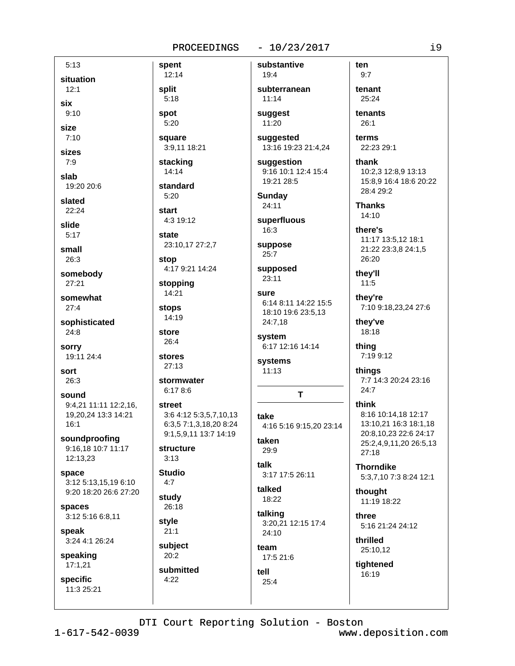#### $-10/23/2017$

 $5:13$ situation  $12:1$ six  $9:10$ size  $7:10$ sizes  $7:9$ slab 19:20 20:6 slated  $22:24$ slide  $5:17$ small 26:3 somebody 27:21 somewhat  $27:4$ sophisticated  $24:8$ **sorry** 19:11 24:4 sort 26:3 sound 9:4,21 11:11 12:2,16, 19,20,24 13:3 14:21  $16:1$ soundproofing 9:16,18 10:7 11:17 12:13,23 space 3:12 5:13.15.19 6:10 9:20 18:20 26:6 27:20 spaces 3:12 5:16 6:8,11 speak 3:24 4:1 26:24 speaking  $17:1,21$ specific 11:3 25:21

spent substantive 12:14  $19.4$ split  $5:18$  $11:14$ spot suggest 5:20 11:20 square suggested 3:9,11 18:21 stacking 14:14 standard  $5:20$ **Sundav** 24:11 start 4:3 19:12 16:3 state 23:10,17 27:2,7 suppose  $25:7$ stop 4:17 9:21 14:24  $23:11$ stopping 14:21 sure stops 14:19 store system  $26:4$ stores systems  $27:13$  $11:13$ stormwater  $6:178:6$ street 3:6 4:12 5:3,5,7,10,13 take 6:3,5 7:1,3,18,20 8:24 9:1,5,9,11 13:7 14:19 taken structure 29:9  $3:13$ talk **Studio** 3:17 17:5 26:11  $4:7$ talked study 18:22 26:18 talking style  $21:1$  $24:10$ subject team  $20:2$ 17:5 21:6 submitted tell  $4:22$  $25:4$ 

subterranean

13:16 19:23 21:4,24

suggestion 9:16 10:1 12:4 15:4 19:21 28:5

superfluous

supposed

6:14 8:11 14:22 15:5 18:10 19:6 23:5,13 24:7,18

6:17 12:16 14:14

 $\mathbf{T}$ 

4:16 5:16 9:15,20 23:14

3:20,21 12:15 17:4

 $9:7$ tenant 25:24

ten

tenants  $26:1$ 

terms 22:23 29:1

thank 10:2,3 12:8,9 13:13 15:8,9 16:4 18:6 20:22 28:4 29:2

**Thanks**  $14:10$ 

there's 11:17 13:5,12 18:1 21:22 23:3,8 24:1,5 26:20

they'll  $11:5$ 

they're 7:10 9:18,23,24 27:6

they've 18:18

thing 7:19 9:12

things 7:7 14:3 20:24 23:16 24:7

think 8:16 10:14,18 12:17 13:10.21 16:3 18:1.18 20:8,10,23 22:6 24:17 25:2,4,9,11,20 26:5,13  $27:18$ 

**Thorndike** 5:3,7,10 7:3 8:24 12:1

thought 11:19 18:22

three 5:16 21:24 24:12

thrilled 25:10,12

tightened 16:19

 $1 - 617 - 542 - 0039$ 

DTI Court Reporting Solution - Boston www.deposition.com